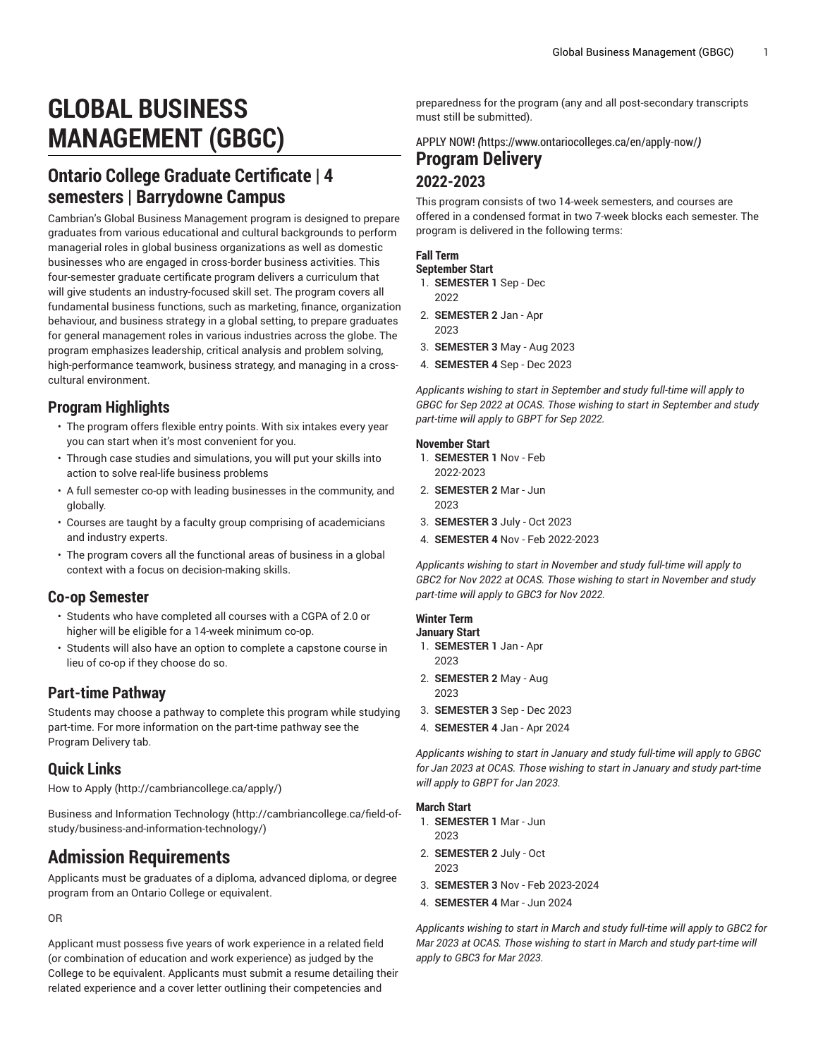# **GLOBAL BUSINESS MANAGEMENT (GBGC)**

# **Ontario College Graduate Certificate | 4 semesters | Barrydowne Campus**

Cambrian's Global Business Management program is designed to prepare graduates from various educational and cultural backgrounds to perform managerial roles in global business organizations as well as domestic businesses who are engaged in cross-border business activities. This four-semester graduate certificate program delivers a curriculum that will give students an industry-focused skill set. The program covers all fundamental business functions, such as marketing, finance, organization behaviour, and business strategy in a global setting, to prepare graduates for general management roles in various industries across the globe. The program emphasizes leadership, critical analysis and problem solving, high-performance teamwork, business strategy, and managing in a crosscultural environment.

### **Program Highlights**

- The program offers flexible entry points. With six intakes every year you can start when it's most convenient for you.
- Through case studies and simulations, you will put your skills into action to solve real-life business problems
- A full semester co-op with leading businesses in the community, and globally.
- Courses are taught by a faculty group comprising of academicians and industry experts.
- The program covers all the functional areas of business in a global context with a focus on decision-making skills.

### **Co-op Semester**

- Students who have completed all courses with a CGPA of 2.0 or higher will be eligible for a 14-week minimum co-op.
- Students will also have an option to complete a capstone course in lieu of co-op if they choose do so.

### **Part-time Pathway**

Students may choose a pathway to complete this program while studying part-time. For more information on the part-time pathway see the Program Delivery tab.

### **Quick Links**

[How to Apply \(http://cambriancollege.ca/apply/](http://cambriancollege.ca/apply/))

Business and [Information](http://cambriancollege.ca/field-of-study/business-and-information-technology/) Technology ([http://cambriancollege.ca/field-of](http://cambriancollege.ca/field-of-study/business-and-information-technology/)[study/business-and-information-technology/\)](http://cambriancollege.ca/field-of-study/business-and-information-technology/)

# **Admission Requirements**

Applicants must be graduates of a diploma, advanced diploma, or degree program from an Ontario College or equivalent.

OR

Applicant must possess five years of work experience in a related field (or combination of education and work experience) as judged by the College to be equivalent. Applicants must submit a resume detailing their related experience and a cover letter outlining their competencies and

preparedness for the program (any and all post-secondary transcripts must still be submitted).

[APPLY](https://www.ontariocolleges.ca/en/apply-now/) NOW! *(*<https://www.ontariocolleges.ca/en/apply-now/>*)* **Program Delivery 2022-2023**

#### This program consists of two 14-week semesters, and courses are offered in a condensed format in two 7-week blocks each semester. The program is delivered in the following terms:

#### **Fall Term**

#### **September Start**

- 1. **SEMESTER 1** Sep Dec 2022
- 2. **SEMESTER 2** Jan Apr 2023
- 3. **SEMESTER 3** May Aug 2023
- 4. **SEMESTER 4** Sep Dec 2023

*Applicants wishing to start in September and study full-time will apply to GBGC for Sep 2022 at OCAS. Those wishing to start in September and study part-time will apply to GBPT for Sep 2022.*

#### **November Start**

- 1. **SEMESTER 1** Nov Feb 2022-2023
- 2. **SEMESTER 2** Mar Jun 2023
- 3. **SEMESTER 3** July Oct 2023
- 4. **SEMESTER 4** Nov Feb 2022-2023

*Applicants wishing to start in November and study full-time will apply to GBC2 for Nov 2022 at OCAS. Those wishing to start in November and study part-time will apply to GBC3 for Nov 2022.*

#### **Winter Term**

- **January Start** 1. **SEMESTER 1** Jan - Apr
	- 2023
- 2. **SEMESTER 2** May Aug 2023
- 3. **SEMESTER 3** Sep Dec 2023
- 4. **SEMESTER 4** Jan Apr 2024

*Applicants wishing to start in January and study full-time will apply to GBGC for Jan 2023 at OCAS. Those wishing to start in January and study part-time will apply to GBPT for Jan 2023.*

#### **March Start**

- 1. **SEMESTER 1** Mar Jun 2023
- 2. **SEMESTER 2** July Oct 2023
- 3. **SEMESTER 3** Nov Feb 2023-2024
- 4. **SEMESTER 4** Mar Jun 2024

*Applicants wishing to start in March and study full-time will apply to GBC2 for Mar 2023 at OCAS. Those wishing to start in March and study part-time will apply to GBC3 for Mar 2023.*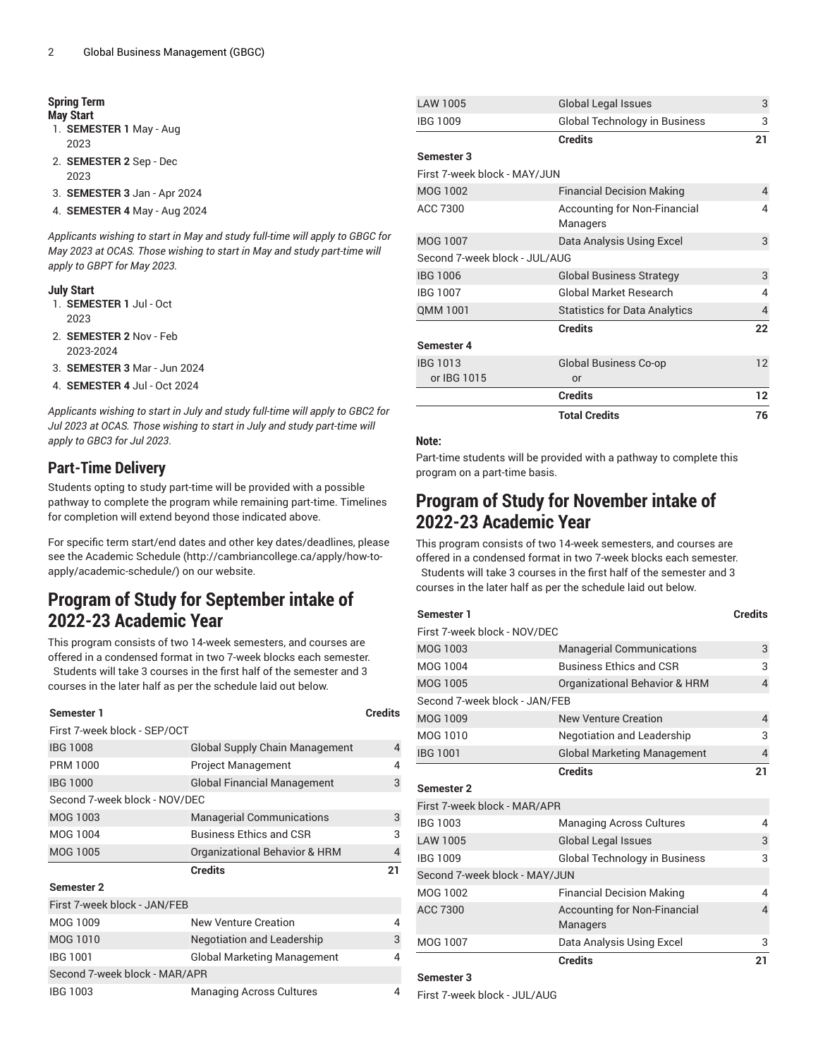#### **Spring Term May Start**

- 1. **SEMESTER 1** May Aug 2023
- 2. **SEMESTER 2** Sep Dec 2023
- 3. **SEMESTER 3** Jan Apr 2024
- 4. **SEMESTER 4** May Aug 2024

*Applicants wishing to start in May and study full-time will apply to GBGC for May 2023 at OCAS. Those wishing to start in May and study part-time will apply to GBPT for May 2023.*

#### **July Start**

- 1. **SEMESTER 1** Jul Oct 2023
- 2. **SEMESTER 2** Nov Feb 2023-2024
- 3. **SEMESTER 3** Mar Jun 2024
- 4. **SEMESTER 4** Jul Oct 2024

*Applicants wishing to start in July and study full-time will apply to GBC2 for Jul 2023 at OCAS. Those wishing to start in July and study part-time will apply to GBC3 for Jul 2023.*

### **Part-Time Delivery**

Students opting to study part-time will be provided with a possible pathway to complete the program while remaining part-time. Timelines for completion will extend beyond those indicated above.

For specific term start/end dates and other key dates/deadlines, please see the [Academic Schedule](http://cambriancollege.ca/apply/how-to-apply/academic-schedule/) ([http://cambriancollege.ca/apply/how-to](http://cambriancollege.ca/apply/how-to-apply/academic-schedule/)[apply/academic-schedule/\)](http://cambriancollege.ca/apply/how-to-apply/academic-schedule/) on our website.

# **Program of Study for September intake of 2022-23 Academic Year**

This program consists of two 14-week semesters, and courses are offered in a condensed format in two 7-week blocks each semester.

Students will take 3 courses in the first half of the semester and 3 courses in the later half as per the schedule laid out below.

### **Semester 1 Credits** First 7-week block - SEP/OCT IBG 1008 Global Supply Chain Management 4 PRM 1000 Project Management 4 IBG 1000 Global Financial Management 3 Second 7-week block - NOV/DEC MOG 1003 Managerial Communications 3 MOG 1004 Business Ethics and CSR 3 MOG 1005 Organizational Behavior & HRM 4 **Credits 21 Semester 2** First 7-week block - JAN/FEB MOG 1009 New Venture Creation 4 MOG 1010 **Negotiation and Leadership** 3 IBG 1001 Global Marketing Management 4 Second 7-week block - MAR/APR

| LAW 1005                      | <b>Global Legal Issues</b>               | 3  |
|-------------------------------|------------------------------------------|----|
| <b>IBG 1009</b>               | <b>Global Technology in Business</b>     | 3  |
|                               | <b>Credits</b>                           | 21 |
| Semester 3                    |                                          |    |
| First 7-week block - MAY/JUN  |                                          |    |
| <b>MOG 1002</b>               | <b>Financial Decision Making</b>         | 4  |
| ACC 7300                      | Accounting for Non-Financial<br>Managers | 4  |
| <b>MOG 1007</b>               | Data Analysis Using Excel                | 3  |
| Second 7-week block - JUL/AUG |                                          |    |
| <b>IBG 1006</b>               | <b>Global Business Strategy</b>          | 3  |
| <b>IBG 1007</b>               | Global Market Research                   | 4  |
| QMM 1001                      | <b>Statistics for Data Analytics</b>     | 4  |
|                               | <b>Credits</b>                           | 22 |
| Semester 4                    |                                          |    |
| <b>IBG 1013</b>               | Global Business Co-op                    | 12 |
| or IBG 1015                   | or                                       |    |
|                               | <b>Credits</b>                           | 12 |
|                               | <b>Total Credits</b>                     | 76 |

#### **Note:**

Part-time students will be provided with a pathway to complete this program on a part-time basis.

# **Program of Study for November intake of 2022-23 Academic Year**

This program consists of two 14-week semesters, and courses are offered in a condensed format in two 7-week blocks each semester. Students will take 3 courses in the first half of the semester and 3 courses in the later half as per the schedule laid out below.

| Semester 1                    |                                                 | <b>Credits</b>           |
|-------------------------------|-------------------------------------------------|--------------------------|
| First 7-week block - NOV/DEC  |                                                 |                          |
| <b>MOG 1003</b>               | <b>Managerial Communications</b>                | 3                        |
| MOG 1004                      | <b>Business Ethics and CSB</b>                  | 3                        |
| <b>MOG 1005</b>               | Organizational Behavior & HRM                   | $\overline{\mathcal{L}}$ |
| Second 7-week block - JAN/FEB |                                                 |                          |
| MOG 1009                      | <b>New Venture Creation</b>                     | $\overline{4}$           |
| MOG 1010                      | Negotiation and Leadership                      | 3                        |
| <b>IBG 1001</b>               | <b>Global Marketing Management</b>              | 4                        |
|                               | <b>Credits</b>                                  | 21                       |
| <b>Semester 2</b>             |                                                 |                          |
| First 7-week block - MAR/APR  |                                                 |                          |
| IBG 1003                      | <b>Managing Across Cultures</b>                 | 4                        |
| <b>LAW 1005</b>               | <b>Global Legal Issues</b>                      | 3                        |
| <b>IBG 1009</b>               | Global Technology in Business                   | 3                        |
| Second 7-week block - MAY/JUN |                                                 |                          |
| MOG 1002                      | <b>Financial Decision Making</b>                | 4                        |
| ACC 7300                      | <b>Accounting for Non-Financial</b><br>Managers | 4                        |
| MOG 1007                      | Data Analysis Using Excel                       | 3                        |
|                               | <b>Credits</b>                                  | 21                       |

#### **Semester 3**

First 7-week block - JUL/AUG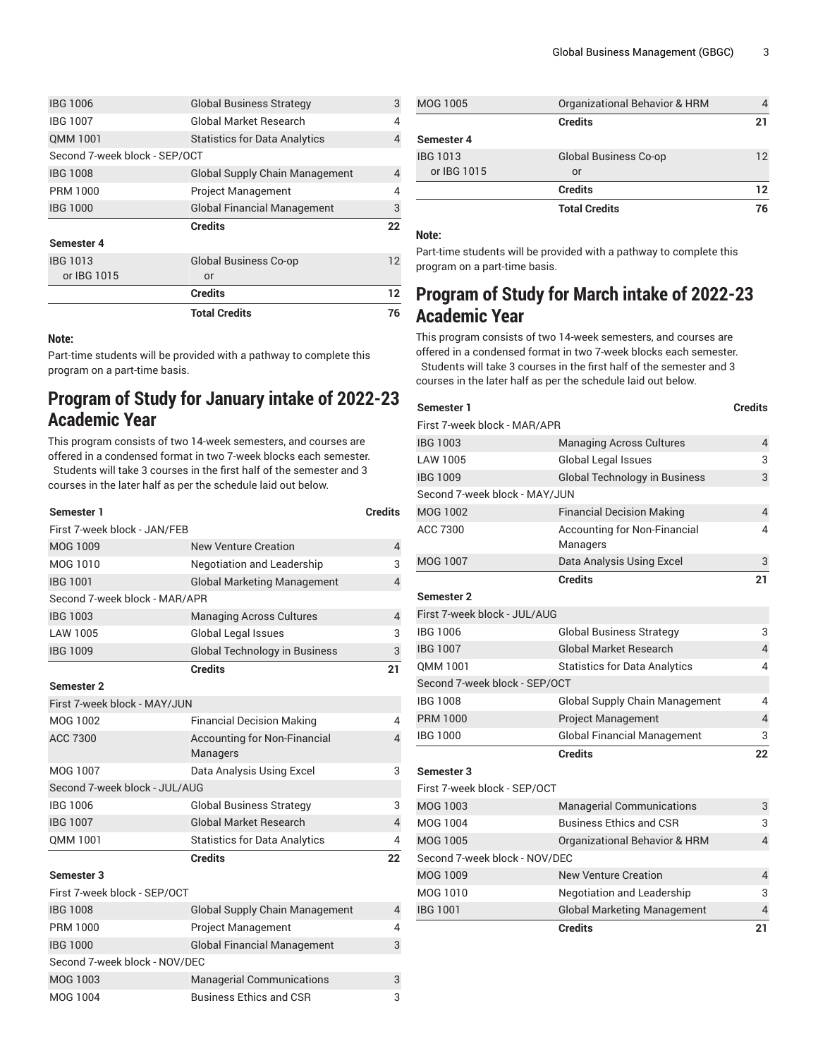|                               | <b>Total Credits</b>                  | 76 |
|-------------------------------|---------------------------------------|----|
|                               | <b>Credits</b>                        | 12 |
| or IBG 1015                   | or                                    |    |
| <b>IBG 1013</b>               | <b>Global Business Co-op</b>          | 12 |
| Semester 4                    |                                       |    |
|                               | <b>Credits</b>                        | 22 |
| <b>IBG 1000</b>               | <b>Global Financial Management</b>    | 3  |
| <b>PRM 1000</b>               | <b>Project Management</b>             | 4  |
| <b>IBG 1008</b>               | <b>Global Supply Chain Management</b> | 4  |
| Second 7-week block - SEP/OCT |                                       |    |
| QMM 1001                      | <b>Statistics for Data Analytics</b>  | 4  |
| <b>IBG 1007</b>               | Global Market Research                | 4  |
| <b>IBG 1006</b>               | <b>Global Business Strategy</b>       | 3  |

#### **Note:**

Part-time students will be provided with a pathway to complete this program on a part-time basis.

# **Program of Study for January intake of 2022-23 Academic Year**

This program consists of two 14-week semesters, and courses are offered in a condensed format in two 7-week blocks each semester. Students will take 3 courses in the first half of the semester and 3 courses in the later half as per the schedule laid out below.

### **Semester 1 Credits** First 7-week block - JAN/FEB MOG 1009 New Venture Creation 4 MOG 1010 **Negotiation and Leadership** 3 IBG 1001 Global Marketing Management 4 Second 7-week block - MAR/APR IBG 1003 Managing Across Cultures 4 LAW 1005 Global Legal Issues 3 IBG 1009 Global Technology in Business 3 **Credits 21 Semester 2** First 7-week block - MAY/JUN MOG 1002 **Financial Decision Making** 44 ACC 7300 **Accounting for Non-Financial** Managers MOG 1007 Data Analysis Using Excel 3 Second 7-week block - JUL/AUG IBG 1006 Global Business Strategy 3 IBG 1007 Global Market Research 4 QMM 1001 Statistics for Data Analytics 4 **Credits 22 Semester 3** First 7-week block - SEP/OCT IBG 1008 Global Supply Chain Management 4 PRM 1000 Project Management 4 IBG 1000 Global Financial Management 3 Second 7-week block - NOV/DEC MOG 1003 Managerial Communications 3 MOG 1004 Business Ethics and CSR 3

| MOG 1005        | Organizational Behavior & HRM |    |
|-----------------|-------------------------------|----|
|                 | <b>Credits</b>                | 21 |
| Semester 4      |                               |    |
| <b>IBG 1013</b> | <b>Global Business Co-op</b>  | 12 |
| or IBG 1015     | or                            |    |
|                 | <b>Credits</b>                | 12 |
|                 | <b>Total Credits</b>          | 76 |

#### **Note:**

4

Part-time students will be provided with a pathway to complete this program on a part-time basis.

# **Program of Study for March intake of 2022-23 Academic Year**

This program consists of two 14-week semesters, and courses are offered in a condensed format in two 7-week blocks each semester. Students will take 3 courses in the first half of the semester and 3 courses in the later half as per the schedule laid out below.

| Semester 1                    |                                                 | <b>Credits</b> |
|-------------------------------|-------------------------------------------------|----------------|
| First 7-week block - MAR/APR  |                                                 |                |
| <b>IBG 1003</b>               | <b>Managing Across Cultures</b>                 | 4              |
| LAW 1005                      | <b>Global Legal Issues</b>                      | 3              |
| <b>IBG 1009</b>               | <b>Global Technology in Business</b>            | 3              |
| Second 7-week block - MAY/JUN |                                                 |                |
| MOG 1002                      | <b>Financial Decision Making</b>                | 4              |
| ACC 7300                      | <b>Accounting for Non-Financial</b><br>Managers | 4              |
| <b>MOG 1007</b>               | Data Analysis Using Excel                       | 3              |
|                               | <b>Credits</b>                                  | 21             |
| <b>Semester 2</b>             |                                                 |                |
| First 7-week block - JUL/AUG  |                                                 |                |
| <b>IBG 1006</b>               | <b>Global Business Strategy</b>                 | 3              |
| <b>IBG 1007</b>               | <b>Global Market Research</b>                   | 4              |
| OMM 1001                      | <b>Statistics for Data Analytics</b>            | 4              |
| Second 7-week block - SEP/OCT |                                                 |                |
| <b>IBG 1008</b>               | <b>Global Supply Chain Management</b>           | 4              |
| <b>PRM 1000</b>               | <b>Project Management</b>                       | 4              |
| <b>IBG 1000</b>               | <b>Global Financial Management</b>              | 3              |
|                               | <b>Credits</b>                                  | 22             |
| <b>Semester 3</b>             |                                                 |                |
| First 7-week block - SEP/OCT  |                                                 |                |
| MOG 1003                      | <b>Managerial Communications</b>                | 3              |
| MOG 1004                      | <b>Business Ethics and CSR</b>                  | 3              |
| <b>MOG 1005</b>               | <b>Organizational Behavior &amp; HRM</b>        | 4              |
| Second 7-week block - NOV/DEC |                                                 |                |
| MOG 1009                      | <b>New Venture Creation</b>                     | 4              |
| MOG 1010                      | <b>Negotiation and Leadership</b>               | 3              |
| <b>IBG 1001</b>               | <b>Global Marketing Management</b>              | 4              |
|                               | <b>Credits</b>                                  | 21             |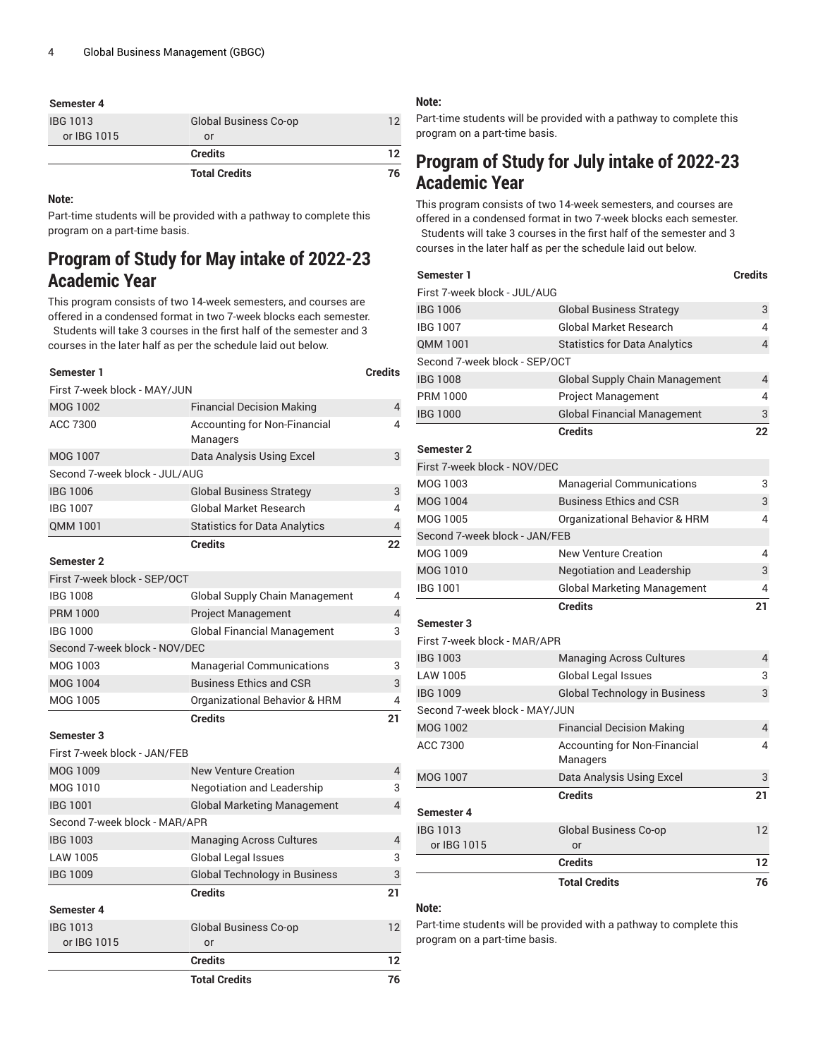#### **Semester 4**

| IBG 1013<br>or IBG 1015 | <b>Global Business Co-op</b><br>or | ר ו |
|-------------------------|------------------------------------|-----|
|                         | <b>Credits</b>                     | 12  |
|                         | <b>Total Credits</b>               | 76  |

#### **Note:**

Part-time students will be provided with a pathway to complete this program on a part-time basis.

# **Program of Study for May intake of 2022-23 Academic Year**

This program consists of two 14-week semesters, and courses are offered in a condensed format in two 7-week blocks each semester. Students will take 3 courses in the first half of the semester and 3 courses in the later half as per the schedule laid out below.

| Semester 1                    |                                                 | <b>Credits</b> |
|-------------------------------|-------------------------------------------------|----------------|
| First 7-week block - MAY/JUN  |                                                 |                |
| <b>MOG 1002</b>               | <b>Financial Decision Making</b>                | $\overline{4}$ |
| ACC 7300                      | <b>Accounting for Non-Financial</b><br>Managers | 4              |
| <b>MOG 1007</b>               | Data Analysis Using Excel                       | 3              |
| Second 7-week block - JUL/AUG |                                                 |                |
| <b>IBG 1006</b>               | <b>Global Business Strategy</b>                 | 3              |
| <b>IBG 1007</b>               | <b>Global Market Research</b>                   | 4              |
| QMM 1001                      | <b>Statistics for Data Analytics</b>            | $\overline{4}$ |
|                               | <b>Credits</b>                                  | 22             |
| <b>Semester 2</b>             |                                                 |                |
| First 7-week block - SEP/OCT  |                                                 |                |
| <b>IBG 1008</b>               | <b>Global Supply Chain Management</b>           | 4              |
| <b>PRM 1000</b>               | <b>Project Management</b>                       | $\overline{4}$ |
| <b>IBG 1000</b>               | <b>Global Financial Management</b>              | 3              |
| Second 7-week block - NOV/DEC |                                                 |                |
| MOG 1003                      | <b>Managerial Communications</b>                | 3              |
| <b>MOG 1004</b>               | <b>Business Ethics and CSR</b>                  | 3              |
| MOG 1005                      | Organizational Behavior & HRM                   | 4              |
|                               | <b>Credits</b>                                  | 21             |
| Semester 3                    |                                                 |                |
| First 7-week block - JAN/FEB  |                                                 |                |
| MOG 1009                      | <b>New Venture Creation</b>                     | 4              |
| MOG 1010                      | <b>Negotiation and Leadership</b>               | 3              |
| <b>IBG 1001</b>               | <b>Global Marketing Management</b>              | $\overline{4}$ |
| Second 7-week block - MAR/APR |                                                 |                |
| <b>IBG 1003</b>               | <b>Managing Across Cultures</b>                 | 4              |
| LAW 1005                      | Global Legal Issues                             | 3              |
| <b>IBG 1009</b>               | <b>Global Technology in Business</b>            | 3              |
|                               | <b>Credits</b>                                  | 21             |
| Semester 4                    |                                                 |                |
| <b>IBG 1013</b>               | Global Business Co-op                           | 12             |
| or IBG 1015                   | or                                              |                |
|                               | <b>Credits</b>                                  | 12             |
|                               | <b>Total Credits</b>                            | 76             |

#### **Note:**

Part-time students will be provided with a pathway to complete this program on a part-time basis.

# **Program of Study for July intake of 2022-23 Academic Year**

This program consists of two 14-week semesters, and courses are offered in a condensed format in two 7-week blocks each semester. Students will take 3 courses in the first half of the semester and 3 courses in the later half as per the schedule laid out below.

| Semester 1                    |                                          | <b>Credits</b> |
|-------------------------------|------------------------------------------|----------------|
| First 7-week block - JUL/AUG  |                                          |                |
| <b>IBG 1006</b>               | <b>Global Business Strategy</b>          | 3              |
| <b>IBG 1007</b>               | <b>Global Market Research</b>            | 4              |
| <b>OMM 1001</b>               | <b>Statistics for Data Analytics</b>     | 4              |
| Second 7-week block - SEP/OCT |                                          |                |
| <b>IBG 1008</b>               | <b>Global Supply Chain Management</b>    | 4              |
| <b>PRM 1000</b>               | <b>Project Management</b>                | 4              |
| <b>IBG 1000</b>               | <b>Global Financial Management</b>       | 3              |
|                               | <b>Credits</b>                           | 22             |
| <b>Semester 2</b>             |                                          |                |
| First 7-week block - NOV/DEC  |                                          |                |
| MOG 1003                      | <b>Managerial Communications</b>         | 3              |
| <b>MOG 1004</b>               | <b>Business Ethics and CSR</b>           | 3              |
| <b>MOG 1005</b>               | Organizational Behavior & HRM            | 4              |
| Second 7-week block - JAN/FEB |                                          |                |
| MOG 1009                      | <b>New Venture Creation</b>              | 4              |
| MOG 1010                      | <b>Negotiation and Leadership</b>        | 3              |
| <b>IBG 1001</b>               | <b>Global Marketing Management</b>       | 4              |
|                               | <b>Credits</b>                           | 21             |
| Semester 3                    |                                          |                |
| First 7-week block - MAR/APR  |                                          |                |
| <b>IBG 1003</b>               | <b>Managing Across Cultures</b>          | 4              |
| LAW 1005                      | Global Legal Issues                      | 3              |
| <b>IBG 1009</b>               | <b>Global Technology in Business</b>     | 3              |
| Second 7-week block - MAY/JUN |                                          |                |
| <b>MOG 1002</b>               | <b>Financial Decision Making</b>         | 4              |
| ACC 7300                      | Accounting for Non-Financial<br>Managers | 4              |
| <b>MOG 1007</b>               | Data Analysis Using Excel                | 3              |
|                               | <b>Credits</b>                           | 21             |
| Semester 4                    |                                          |                |
| <b>IBG 1013</b>               | <b>Global Business Co-op</b>             | 12             |
| or IBG 1015                   | or                                       |                |
|                               | <b>Credits</b>                           | 12             |
|                               | <b>Total Credits</b>                     | 76             |

#### **Note:**

Part-time students will be provided with a pathway to complete this program on a part-time basis.